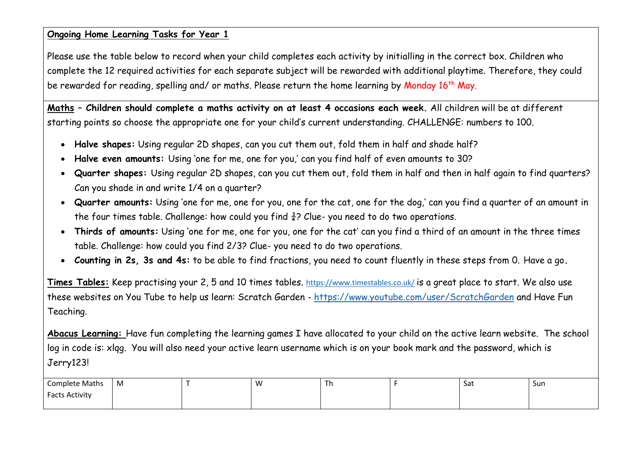#### **Ongoing Home Learning Tasks for Year 1**

Please use the table below to record when your child completes each activity by initialling in the correct box. Children who complete the 12 required activities for each separate subject will be rewarded with additional playtime. Therefore, they could be rewarded for reading, spelling and/ or maths. Please return the home learning by Monday 16<sup>th</sup> May.

**Maths – Children should complete a maths activity on at least 4 occasions each week.** All children will be at different starting points so choose the appropriate one for your child's current understanding. CHALLENGE: numbers to 100.

- **Halve shapes:** Using regular 2D shapes, can you cut them out, fold them in half and shade half?
- **Halve even amounts:** Using 'one for me, one for you,' can you find half of even amounts to 30?
- **Quarter shapes:** Using regular 2D shapes, can you cut them out, fold them in half and then in half again to find quarters? Can you shade in and write 1/4 on a quarter?
- **Quarter amounts:** Using 'one for me, one for you, one for the cat, one for the dog,' can you find a quarter of an amount in the four times table. Challenge: how could you find  $\frac{3}{4}$ ? Clue- you need to do two operations.
- **Thirds of amounts:** Using 'one for me, one for you, one for the cat' can you find a third of an amount in the three times table. Challenge: how could you find 2/3? Clue- you need to do two operations.
- **Counting in 2s, 3s and 4s:** to be able to find fractions, you need to count fluently in these steps from 0. Have a go**.**

**Times Tables:** Keep practising your 2, 5 and 10 times tables. <https://www.timestables.co.uk/> is a great place to start. We also use these websites on You Tube to help us learn: Scratch Garden - <https://www.youtube.com/user/ScratchGarden> and Have Fun Teaching.

**Abacus Learning:** Have fun completing the learning games I have allocated to your child on the active learn website. The school log in code is: xlqg. You will also need your active learn username which is on your book mark and the password, which is Jerry123!

| <b>Complete Maths</b> | M | w |  | <b>Sat</b> | Sun |
|-----------------------|---|---|--|------------|-----|
| <b>Facts Activity</b> |   |   |  |            |     |
|                       |   |   |  |            |     |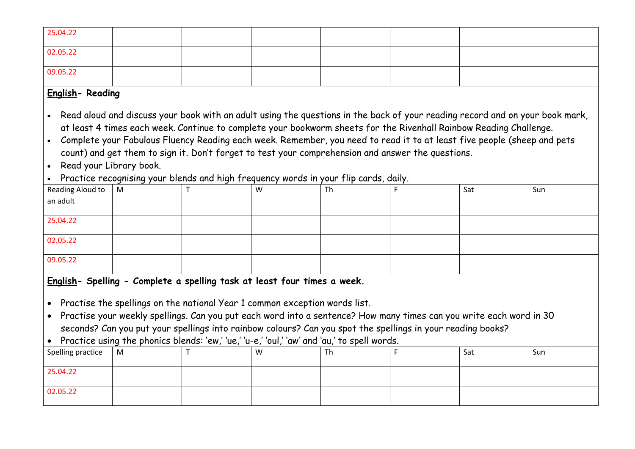| 25.04.22 |  |  |  |  |
|----------|--|--|--|--|
| 02.05.22 |  |  |  |  |
| 09.05.22 |  |  |  |  |

## **English- Reading**

• Read aloud and discuss your book with an adult using the questions in the back of your reading record and on your book mark, at least 4 times each week. Continue to complete your bookworm sheets for the Rivenhall Rainbow Reading Challenge.

- Complete your Fabulous Fluency Reading each week. Remember, you need to read it to at least five people (sheep and pets count) and get them to sign it. Don't forget to test your comprehension and answer the questions.
- Read your Library book.
- Practice recognising your blends and high frequency words in your flip cards, daily.

| Reading Aloud to $\Big $<br>an adult | M | W | Th | Sat | Sun |
|--------------------------------------|---|---|----|-----|-----|
|                                      |   |   |    |     |     |
|                                      |   |   |    |     |     |
| 25.04.22                             |   |   |    |     |     |
|                                      |   |   |    |     |     |
| 02.05.22                             |   |   |    |     |     |
|                                      |   |   |    |     |     |
| 09.05.22                             |   |   |    |     |     |
|                                      |   |   |    |     |     |

**English- Spelling - Complete a spelling task at least four times a week.**

• Practise the spellings on the national Year 1 common exception words list.

• Practise your weekly spellings. Can you put each word into a sentence? How many times can you write each word in 30 seconds? Can you put your spellings into rainbow colours? Can you spot the spellings in your reading books?

• Practice using the phonics blends: 'ew,' 'ue,' 'u-e,' 'oul,' 'aw' and 'au,' to spell words.

| Spelling practice   M |  | W | Th | Sat | Sun |
|-----------------------|--|---|----|-----|-----|
| 25.04.22              |  |   |    |     |     |
| 02.05.22              |  |   |    |     |     |